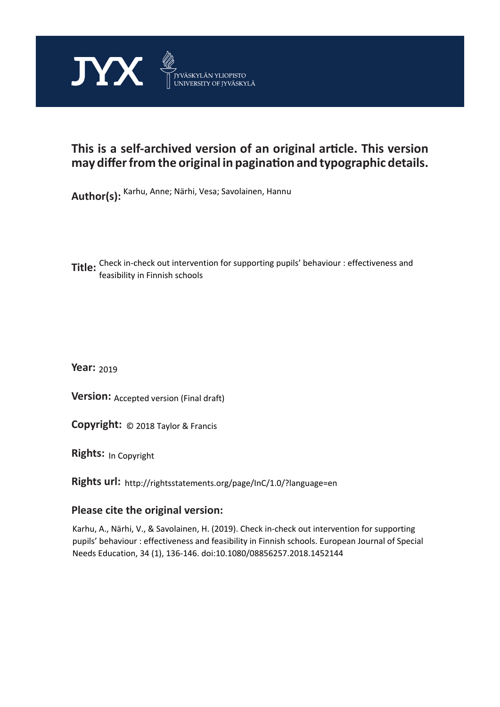

# **This is a self-archived version of an original article. This version may differ from the original in pagination and typographic details.**

**Author(s):**  Karhu, Anne; Närhi, Vesa; Savolainen, Hannu

**Title:** Check in-check out intervention for supporting pupils' behaviour : effectiveness and<br> feasibility in Finnish schools

**Year:**  2019

**Version:** Accepted version (Final draft)

**Version:** Accepted version (Final draft)<br>**Copyright:** © 2018 Taylor & Francis

**Rights:** In Copyright

**Rights url:**  http://rightsstatements.org/page/InC/1.0/?language=en

### **Please cite the original version:**

Karhu, A., Närhi, V., & Savolainen, H. (2019). Check in-check out intervention for supporting pupils' behaviour : effectiveness and feasibility in Finnish schools. European Journal of Special Needs Education, 34 (1), 136-146. doi:10.1080/08856257.2018.1452144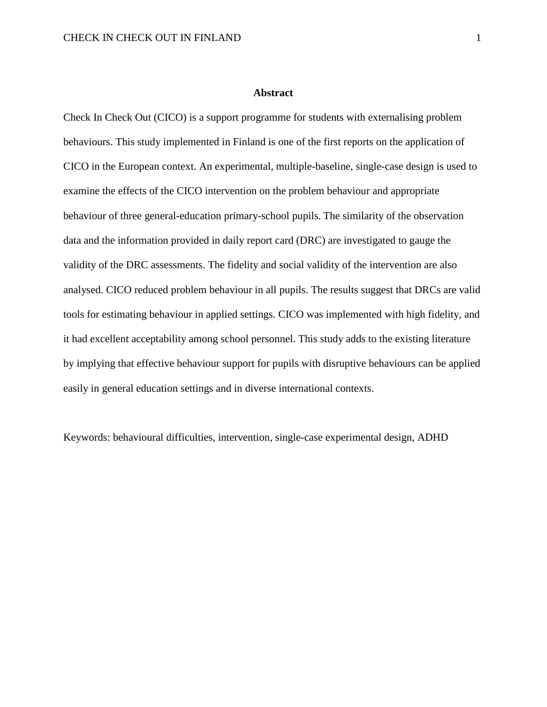#### **Abstract**

Check In Check Out (CICO) is a support programme for students with externalising problem behaviours. This study implemented in Finland is one of the first reports on the application of CICO in the European context. An experimental, multiple-baseline, single-case design is used to examine the effects of the CICO intervention on the problem behaviour and appropriate behaviour of three general-education primary-school pupils. The similarity of the observation data and the information provided in daily report card (DRC) are investigated to gauge the validity of the DRC assessments. The fidelity and social validity of the intervention are also analysed. CICO reduced problem behaviour in all pupils. The results suggest that DRCs are valid tools for estimating behaviour in applied settings. CICO was implemented with high fidelity, and it had excellent acceptability among school personnel. This study adds to the existing literature by implying that effective behaviour support for pupils with disruptive behaviours can be applied easily in general education settings and in diverse international contexts.

Keywords: behavioural difficulties, intervention, single-case experimental design, ADHD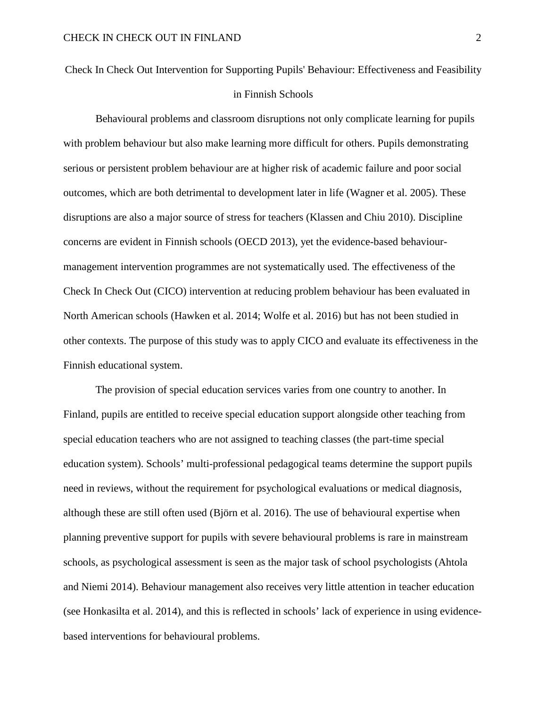Check In Check Out Intervention for Supporting Pupils' Behaviour: Effectiveness and Feasibility in Finnish Schools

Behavioural problems and classroom disruptions not only complicate learning for pupils with problem behaviour but also make learning more difficult for others. Pupils demonstrating serious or persistent problem behaviour are at higher risk of academic failure and poor social outcomes, which are both detrimental to development later in life (Wagner et al. 2005). These disruptions are also a major source of stress for teachers (Klassen and Chiu 2010). Discipline concerns are evident in Finnish schools (OECD 2013), yet the evidence-based behaviourmanagement intervention programmes are not systematically used. The effectiveness of the Check In Check Out (CICO) intervention at reducing problem behaviour has been evaluated in North American schools (Hawken et al. 2014; Wolfe et al. 2016) but has not been studied in other contexts. The purpose of this study was to apply CICO and evaluate its effectiveness in the Finnish educational system.

The provision of special education services varies from one country to another. In Finland, pupils are entitled to receive special education support alongside other teaching from special education teachers who are not assigned to teaching classes (the part-time special education system). Schools' multi-professional pedagogical teams determine the support pupils need in reviews, without the requirement for psychological evaluations or medical diagnosis, although these are still often used (Björn et al. 2016). The use of behavioural expertise when planning preventive support for pupils with severe behavioural problems is rare in mainstream schools, as psychological assessment is seen as the major task of school psychologists (Ahtola and Niemi 2014). Behaviour management also receives very little attention in teacher education (see Honkasilta et al. 2014), and this is reflected in schools' lack of experience in using evidencebased interventions for behavioural problems.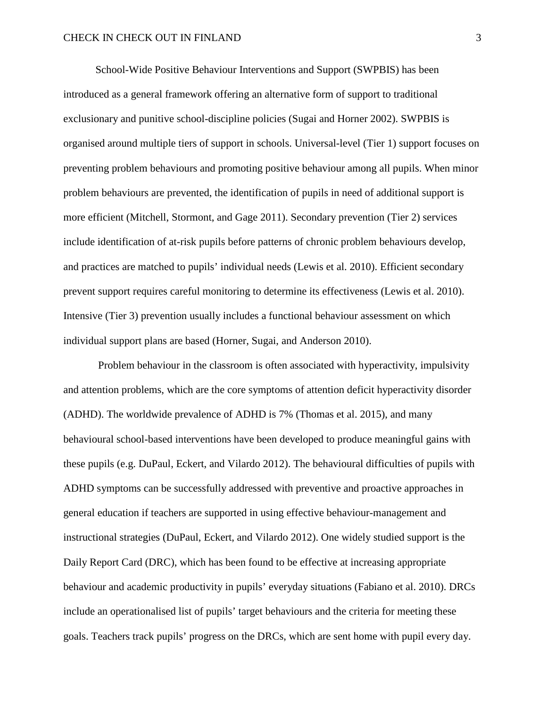School-Wide Positive Behaviour Interventions and Support (SWPBIS) has been introduced as a general framework offering an alternative form of support to traditional exclusionary and punitive school-discipline policies (Sugai and Horner 2002). SWPBIS is organised around multiple tiers of support in schools. Universal-level (Tier 1) support focuses on preventing problem behaviours and promoting positive behaviour among all pupils. When minor problem behaviours are prevented, the identification of pupils in need of additional support is more efficient (Mitchell, Stormont, and Gage 2011). Secondary prevention (Tier 2) services include identification of at-risk pupils before patterns of chronic problem behaviours develop, and practices are matched to pupils' individual needs (Lewis et al. 2010). Efficient secondary prevent support requires careful monitoring to determine its effectiveness (Lewis et al. 2010). Intensive (Tier 3) prevention usually includes a functional behaviour assessment on which individual support plans are based (Horner, Sugai, and Anderson 2010).

Problem behaviour in the classroom is often associated with hyperactivity, impulsivity and attention problems, which are the core symptoms of attention deficit hyperactivity disorder (ADHD). The worldwide prevalence of ADHD is 7% (Thomas et al. 2015), and many behavioural school-based interventions have been developed to produce meaningful gains with these pupils (e.g. DuPaul, Eckert, and Vilardo 2012). The behavioural difficulties of pupils with ADHD symptoms can be successfully addressed with preventive and proactive approaches in general education if teachers are supported in using effective behaviour-management and instructional strategies (DuPaul, Eckert, and Vilardo 2012). One widely studied support is the Daily Report Card (DRC), which has been found to be effective at increasing appropriate behaviour and academic productivity in pupils' everyday situations (Fabiano et al. 2010). DRCs include an operationalised list of pupils' target behaviours and the criteria for meeting these goals. Teachers track pupils' progress on the DRCs, which are sent home with pupil every day.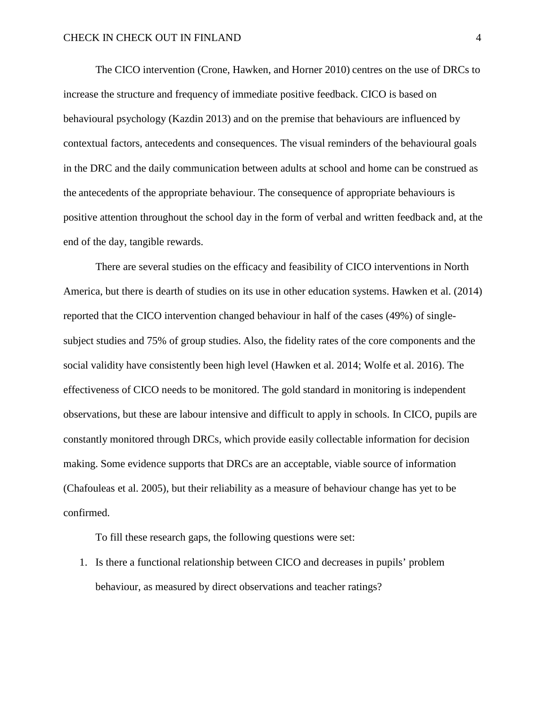The CICO intervention (Crone, Hawken, and Horner 2010) centres on the use of DRCs to increase the structure and frequency of immediate positive feedback. CICO is based on behavioural psychology (Kazdin 2013) and on the premise that behaviours are influenced by contextual factors, antecedents and consequences. The visual reminders of the behavioural goals in the DRC and the daily communication between adults at school and home can be construed as the antecedents of the appropriate behaviour. The consequence of appropriate behaviours is positive attention throughout the school day in the form of verbal and written feedback and, at the end of the day, tangible rewards.

There are several studies on the efficacy and feasibility of CICO interventions in North America, but there is dearth of studies on its use in other education systems. Hawken et al. (2014) reported that the CICO intervention changed behaviour in half of the cases (49%) of singlesubject studies and 75% of group studies. Also, the fidelity rates of the core components and the social validity have consistently been high level (Hawken et al. 2014; Wolfe et al. 2016). The effectiveness of CICO needs to be monitored. The gold standard in monitoring is independent observations, but these are labour intensive and difficult to apply in schools. In CICO, pupils are constantly monitored through DRCs, which provide easily collectable information for decision making. Some evidence supports that DRCs are an acceptable, viable source of information (Chafouleas et al. 2005), but their reliability as a measure of behaviour change has yet to be confirmed.

To fill these research gaps, the following questions were set:

1. Is there a functional relationship between CICO and decreases in pupils' problem behaviour, as measured by direct observations and teacher ratings?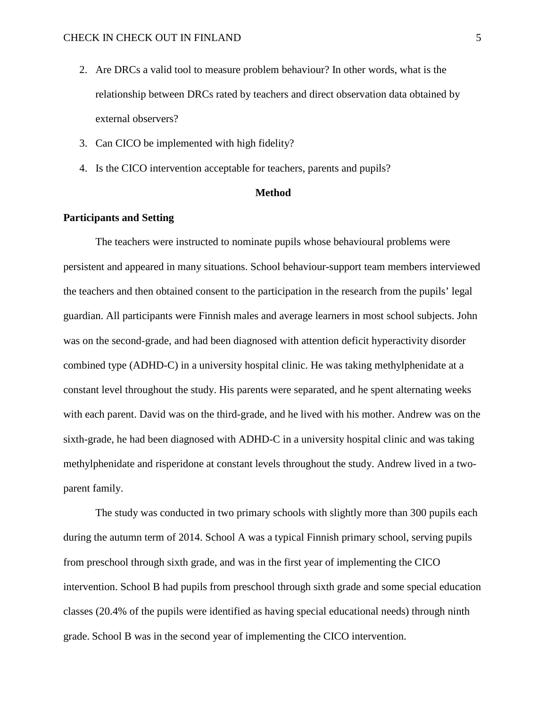- 2. Are DRCs a valid tool to measure problem behaviour? In other words, what is the relationship between DRCs rated by teachers and direct observation data obtained by external observers?
- 3. Can CICO be implemented with high fidelity?
- 4. Is the CICO intervention acceptable for teachers, parents and pupils?

### **Method**

#### **Participants and Setting**

The teachers were instructed to nominate pupils whose behavioural problems were persistent and appeared in many situations. School behaviour-support team members interviewed the teachers and then obtained consent to the participation in the research from the pupils' legal guardian. All participants were Finnish males and average learners in most school subjects. John was on the second-grade, and had been diagnosed with attention deficit hyperactivity disorder combined type (ADHD-C) in a university hospital clinic. He was taking methylphenidate at a constant level throughout the study. His parents were separated, and he spent alternating weeks with each parent. David was on the third-grade, and he lived with his mother. Andrew was on the sixth-grade, he had been diagnosed with ADHD-C in a university hospital clinic and was taking methylphenidate and risperidone at constant levels throughout the study. Andrew lived in a twoparent family.

The study was conducted in two primary schools with slightly more than 300 pupils each during the autumn term of 2014. School A was a typical Finnish primary school, serving pupils from preschool through sixth grade, and was in the first year of implementing the CICO intervention. School B had pupils from preschool through sixth grade and some special education classes (20.4% of the pupils were identified as having special educational needs) through ninth grade. School B was in the second year of implementing the CICO intervention.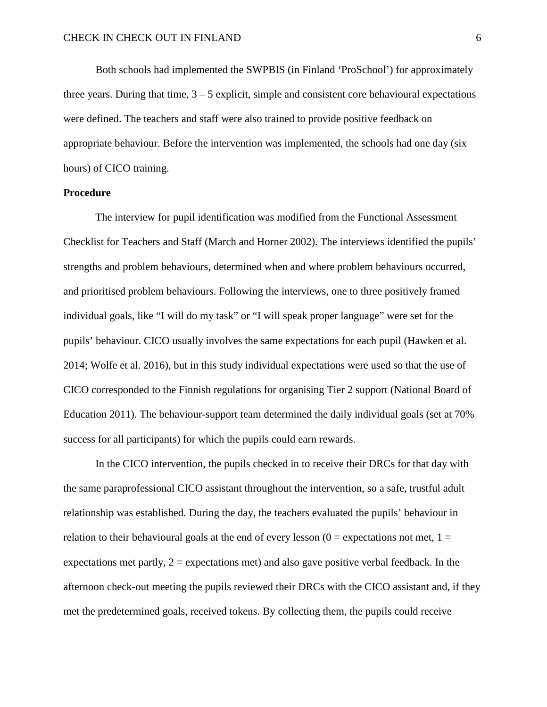Both schools had implemented the SWPBIS (in Finland 'ProSchool') for approximately three years. During that time,  $3 - 5$  explicit, simple and consistent core behavioural expectations were defined. The teachers and staff were also trained to provide positive feedback on appropriate behaviour. Before the intervention was implemented, the schools had one day (six hours) of CICO training.

#### **Procedure**

The interview for pupil identification was modified from the Functional Assessment Checklist for Teachers and Staff (March and Horner 2002). The interviews identified the pupils' strengths and problem behaviours, determined when and where problem behaviours occurred, and prioritised problem behaviours. Following the interviews, one to three positively framed individual goals, like "I will do my task" or "I will speak proper language" were set for the pupils' behaviour. CICO usually involves the same expectations for each pupil (Hawken et al. 2014; Wolfe et al. 2016), but in this study individual expectations were used so that the use of CICO corresponded to the Finnish regulations for organising Tier 2 support (National Board of Education 2011). The behaviour-support team determined the daily individual goals (set at 70% success for all participants) for which the pupils could earn rewards.

In the CICO intervention, the pupils checked in to receive their DRCs for that day with the same paraprofessional CICO assistant throughout the intervention, so a safe, trustful adult relationship was established. During the day, the teachers evaluated the pupils' behaviour in relation to their behavioural goals at the end of every lesson  $(0 =$  expectations not met,  $1 =$ expectations met partly,  $2 =$  expectations met) and also gave positive verbal feedback. In the afternoon check-out meeting the pupils reviewed their DRCs with the CICO assistant and, if they met the predetermined goals, received tokens. By collecting them, the pupils could receive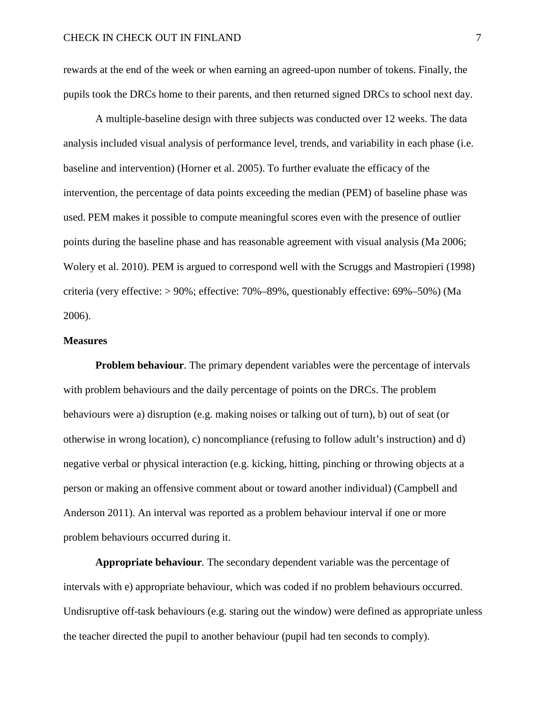rewards at the end of the week or when earning an agreed-upon number of tokens. Finally, the pupils took the DRCs home to their parents, and then returned signed DRCs to school next day.

A multiple-baseline design with three subjects was conducted over 12 weeks. The data analysis included visual analysis of performance level, trends, and variability in each phase (i.e. baseline and intervention) (Horner et al. 2005). To further evaluate the efficacy of the intervention, the percentage of data points exceeding the median (PEM) of baseline phase was used. PEM makes it possible to compute meaningful scores even with the presence of outlier points during the baseline phase and has reasonable agreement with visual analysis (Ma 2006; Wolery et al. 2010). PEM is argued to correspond well with the Scruggs and Mastropieri (1998) criteria (very effective: > 90%; effective: 70%–89%, questionably effective: 69%–50%) (Ma 2006).

#### **Measures**

**Problem behaviour.** The primary dependent variables were the percentage of intervals with problem behaviours and the daily percentage of points on the DRCs. The problem behaviours were a) disruption (e.g. making noises or talking out of turn), b) out of seat (or otherwise in wrong location), c) noncompliance (refusing to follow adult's instruction) and d) negative verbal or physical interaction (e.g. kicking, hitting, pinching or throwing objects at a person or making an offensive comment about or toward another individual) (Campbell and Anderson 2011). An interval was reported as a problem behaviour interval if one or more problem behaviours occurred during it.

**Appropriate behaviour***.* The secondary dependent variable was the percentage of intervals with e) appropriate behaviour, which was coded if no problem behaviours occurred. Undisruptive off-task behaviours (e.g. staring out the window) were defined as appropriate unless the teacher directed the pupil to another behaviour (pupil had ten seconds to comply).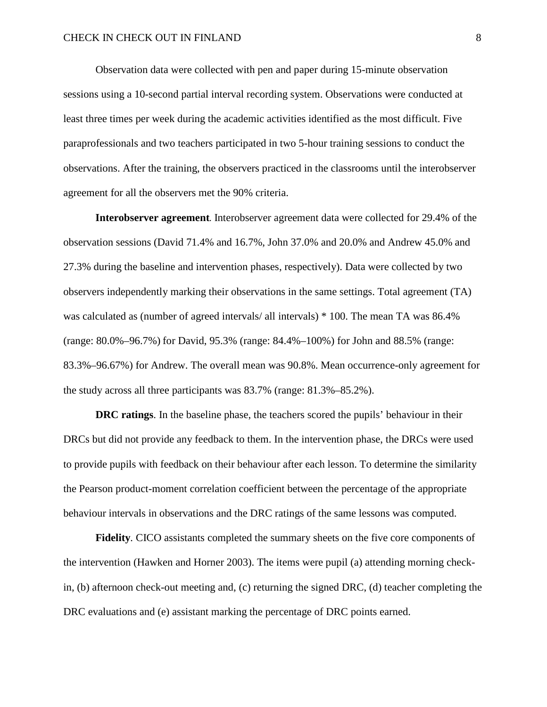Observation data were collected with pen and paper during 15-minute observation sessions using a 10-second partial interval recording system. Observations were conducted at least three times per week during the academic activities identified as the most difficult. Five paraprofessionals and two teachers participated in two 5-hour training sessions to conduct the observations. After the training, the observers practiced in the classrooms until the interobserver agreement for all the observers met the 90% criteria.

**Interobserver agreement***.* Interobserver agreement data were collected for 29.4% of the observation sessions (David 71.4% and 16.7%, John 37.0% and 20.0% and Andrew 45.0% and 27.3% during the baseline and intervention phases, respectively). Data were collected by two observers independently marking their observations in the same settings. Total agreement (TA) was calculated as (number of agreed intervals/ all intervals) \* 100. The mean TA was 86.4% (range: 80.0%–96.7%) for David, 95.3% (range: 84.4%–100%) for John and 88.5% (range: 83.3%–96.67%) for Andrew. The overall mean was 90.8%. Mean occurrence-only agreement for the study across all three participants was 83.7% (range: 81.3%–85.2%).

**DRC ratings**. In the baseline phase, the teachers scored the pupils' behaviour in their DRCs but did not provide any feedback to them. In the intervention phase, the DRCs were used to provide pupils with feedback on their behaviour after each lesson. To determine the similarity the Pearson product-moment correlation coefficient between the percentage of the appropriate behaviour intervals in observations and the DRC ratings of the same lessons was computed.

**Fidelity***.* CICO assistants completed the summary sheets on the five core components of the intervention (Hawken and Horner 2003). The items were pupil (a) attending morning checkin, (b) afternoon check-out meeting and, (c) returning the signed DRC, (d) teacher completing the DRC evaluations and (e) assistant marking the percentage of DRC points earned.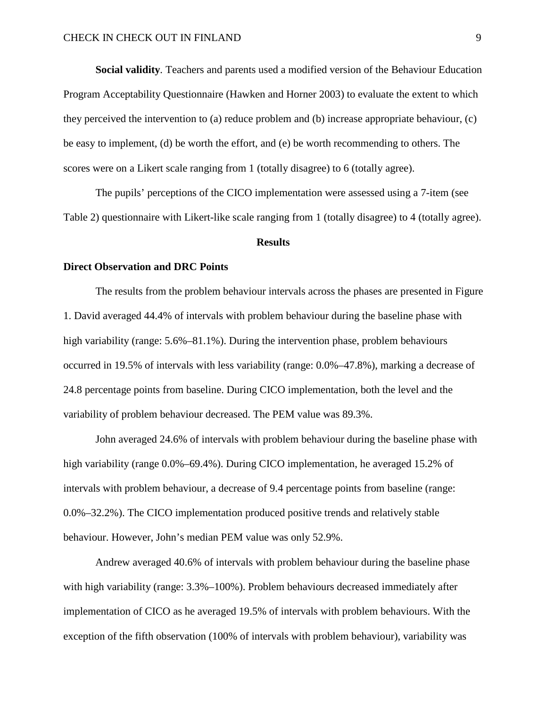**Social validity***.* Teachers and parents used a modified version of the Behaviour Education Program Acceptability Questionnaire (Hawken and Horner 2003) to evaluate the extent to which they perceived the intervention to (a) reduce problem and (b) increase appropriate behaviour, (c) be easy to implement, (d) be worth the effort, and (e) be worth recommending to others. The scores were on a Likert scale ranging from 1 (totally disagree) to 6 (totally agree).

The pupils' perceptions of the CICO implementation were assessed using a 7-item (see Table 2) questionnaire with Likert-like scale ranging from 1 (totally disagree) to 4 (totally agree).

#### **Results**

#### **Direct Observation and DRC Points**

The results from the problem behaviour intervals across the phases are presented in Figure 1. David averaged 44.4% of intervals with problem behaviour during the baseline phase with high variability (range: 5.6%–81.1%). During the intervention phase, problem behaviours occurred in 19.5% of intervals with less variability (range: 0.0%–47.8%), marking a decrease of 24.8 percentage points from baseline. During CICO implementation, both the level and the variability of problem behaviour decreased. The PEM value was 89.3%.

John averaged 24.6% of intervals with problem behaviour during the baseline phase with high variability (range 0.0%–69.4%). During CICO implementation, he averaged 15.2% of intervals with problem behaviour, a decrease of 9.4 percentage points from baseline (range: 0.0%–32.2%). The CICO implementation produced positive trends and relatively stable behaviour. However, John's median PEM value was only 52.9%.

Andrew averaged 40.6% of intervals with problem behaviour during the baseline phase with high variability (range: 3.3%–100%). Problem behaviours decreased immediately after implementation of CICO as he averaged 19.5% of intervals with problem behaviours. With the exception of the fifth observation (100% of intervals with problem behaviour), variability was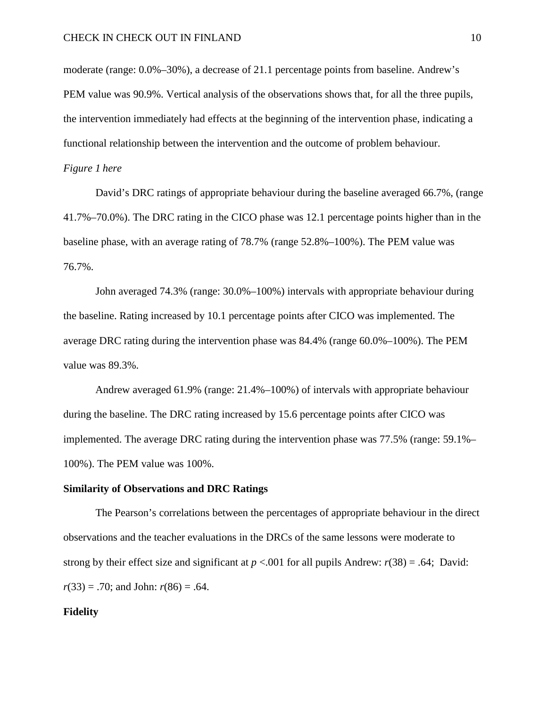moderate (range: 0.0%–30%), a decrease of 21.1 percentage points from baseline. Andrew's PEM value was 90.9%. Vertical analysis of the observations shows that, for all the three pupils, the intervention immediately had effects at the beginning of the intervention phase, indicating a functional relationship between the intervention and the outcome of problem behaviour.

#### *Figure 1 here*

David's DRC ratings of appropriate behaviour during the baseline averaged 66.7%, (range 41.7%–70.0%). The DRC rating in the CICO phase was 12.1 percentage points higher than in the baseline phase, with an average rating of 78.7% (range 52.8%–100%). The PEM value was 76.7%.

John averaged 74.3% (range: 30.0%–100%) intervals with appropriate behaviour during the baseline. Rating increased by 10.1 percentage points after CICO was implemented. The average DRC rating during the intervention phase was 84.4% (range 60.0%–100%). The PEM value was 89.3%.

Andrew averaged 61.9% (range: 21.4%–100%) of intervals with appropriate behaviour during the baseline. The DRC rating increased by 15.6 percentage points after CICO was implemented. The average DRC rating during the intervention phase was 77.5% (range: 59.1%– 100%). The PEM value was 100%.

#### **Similarity of Observations and DRC Ratings**

The Pearson's correlations between the percentages of appropriate behaviour in the direct observations and the teacher evaluations in the DRCs of the same lessons were moderate to strong by their effect size and significant at  $p < .001$  for all pupils Andrew:  $r(38) = .64$ ; David:  $r(33) = .70$ ; and John:  $r(86) = .64$ .

#### **Fidelity**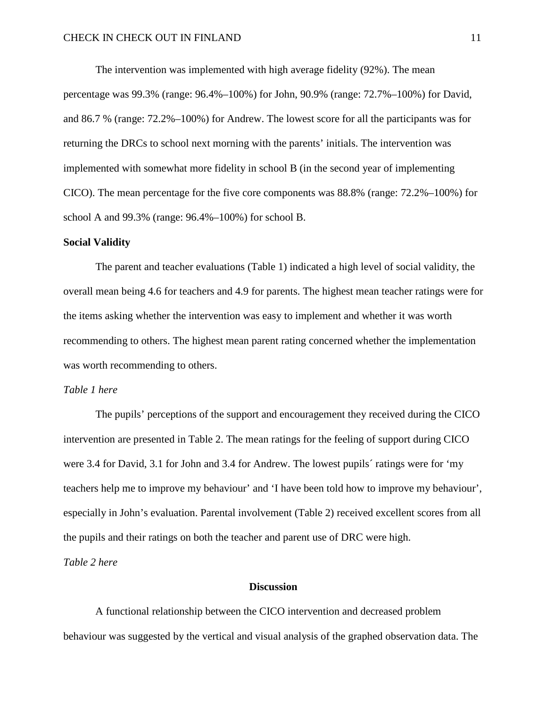The intervention was implemented with high average fidelity (92%). The mean percentage was 99.3% (range: 96.4%–100%) for John, 90.9% (range: 72.7%–100%) for David, and 86.7 % (range: 72.2%–100%) for Andrew. The lowest score for all the participants was for returning the DRCs to school next morning with the parents' initials. The intervention was implemented with somewhat more fidelity in school B (in the second year of implementing CICO). The mean percentage for the five core components was 88.8% (range: 72.2%–100%) for school A and 99.3% (range: 96.4%–100%) for school B.

#### **Social Validity**

The parent and teacher evaluations (Table 1) indicated a high level of social validity, the overall mean being 4.6 for teachers and 4.9 for parents. The highest mean teacher ratings were for the items asking whether the intervention was easy to implement and whether it was worth recommending to others. The highest mean parent rating concerned whether the implementation was worth recommending to others.

#### *Table 1 here*

The pupils' perceptions of the support and encouragement they received during the CICO intervention are presented in Table 2. The mean ratings for the feeling of support during CICO were 3.4 for David, 3.1 for John and 3.4 for Andrew. The lowest pupils´ ratings were for 'my teachers help me to improve my behaviour' and 'I have been told how to improve my behaviour', especially in John's evaluation. Parental involvement (Table 2) received excellent scores from all the pupils and their ratings on both the teacher and parent use of DRC were high.

*Table 2 here*

#### **Discussion**

A functional relationship between the CICO intervention and decreased problem behaviour was suggested by the vertical and visual analysis of the graphed observation data. The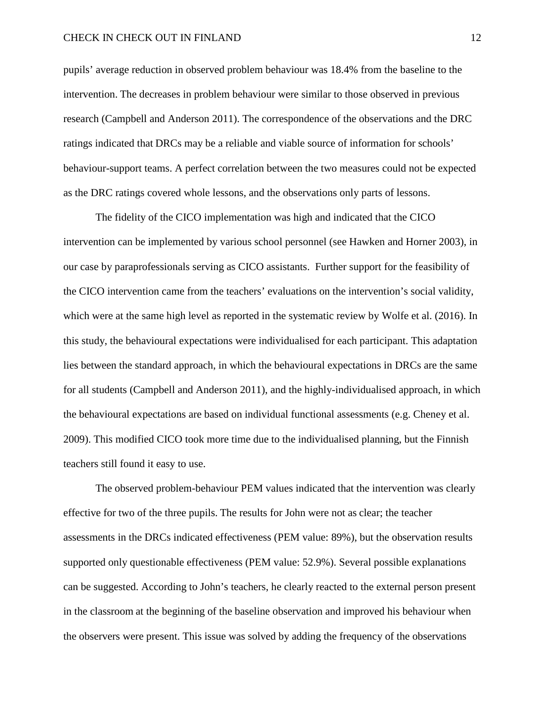#### CHECK IN CHECK OUT IN FINLAND 12

pupils' average reduction in observed problem behaviour was 18.4% from the baseline to the intervention. The decreases in problem behaviour were similar to those observed in previous research (Campbell and Anderson 2011). The correspondence of the observations and the DRC ratings indicated that DRCs may be a reliable and viable source of information for schools' behaviour-support teams. A perfect correlation between the two measures could not be expected as the DRC ratings covered whole lessons, and the observations only parts of lessons.

The fidelity of the CICO implementation was high and indicated that the CICO intervention can be implemented by various school personnel (see Hawken and Horner 2003), in our case by paraprofessionals serving as CICO assistants. Further support for the feasibility of the CICO intervention came from the teachers' evaluations on the intervention's social validity, which were at the same high level as reported in the systematic review by Wolfe et al. (2016). In this study, the behavioural expectations were individualised for each participant. This adaptation lies between the standard approach, in which the behavioural expectations in DRCs are the same for all students (Campbell and Anderson 2011), and the highly-individualised approach, in which the behavioural expectations are based on individual functional assessments (e.g. Cheney et al. 2009). This modified CICO took more time due to the individualised planning, but the Finnish teachers still found it easy to use.

The observed problem-behaviour PEM values indicated that the intervention was clearly effective for two of the three pupils. The results for John were not as clear; the teacher assessments in the DRCs indicated effectiveness (PEM value: 89%), but the observation results supported only questionable effectiveness (PEM value: 52.9%). Several possible explanations can be suggested. According to John's teachers, he clearly reacted to the external person present in the classroom at the beginning of the baseline observation and improved his behaviour when the observers were present. This issue was solved by adding the frequency of the observations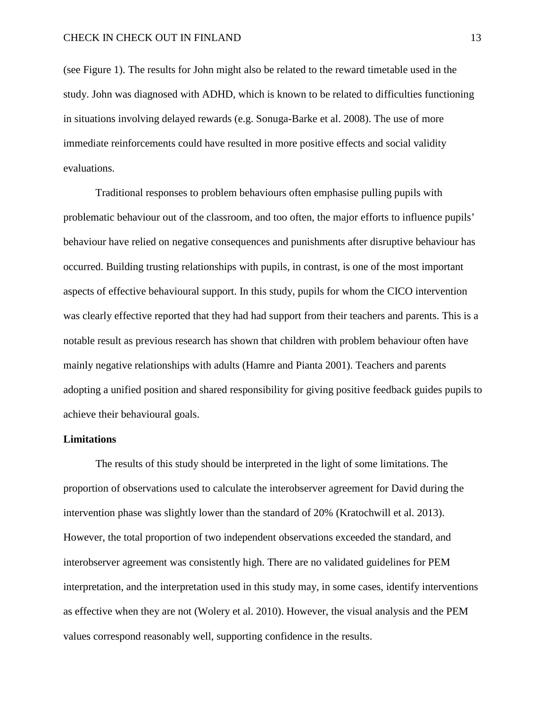(see Figure 1). The results for John might also be related to the reward timetable used in the study. John was diagnosed with ADHD, which is known to be related to difficulties functioning in situations involving delayed rewards (e.g. Sonuga-Barke et al. 2008). The use of more immediate reinforcements could have resulted in more positive effects and social validity evaluations.

Traditional responses to problem behaviours often emphasise pulling pupils with problematic behaviour out of the classroom, and too often, the major efforts to influence pupils' behaviour have relied on negative consequences and punishments after disruptive behaviour has occurred. Building trusting relationships with pupils, in contrast, is one of the most important aspects of effective behavioural support. In this study, pupils for whom the CICO intervention was clearly effective reported that they had had support from their teachers and parents. This is a notable result as previous research has shown that children with problem behaviour often have mainly negative relationships with adults (Hamre and Pianta 2001). Teachers and parents adopting a unified position and shared responsibility for giving positive feedback guides pupils to achieve their behavioural goals.

#### **Limitations**

The results of this study should be interpreted in the light of some limitations. The proportion of observations used to calculate the interobserver agreement for David during the intervention phase was slightly lower than the standard of 20% (Kratochwill et al. 2013). However, the total proportion of two independent observations exceeded the standard, and interobserver agreement was consistently high. There are no validated guidelines for PEM interpretation, and the interpretation used in this study may, in some cases, identify interventions as effective when they are not (Wolery et al. 2010). However, the visual analysis and the PEM values correspond reasonably well, supporting confidence in the results.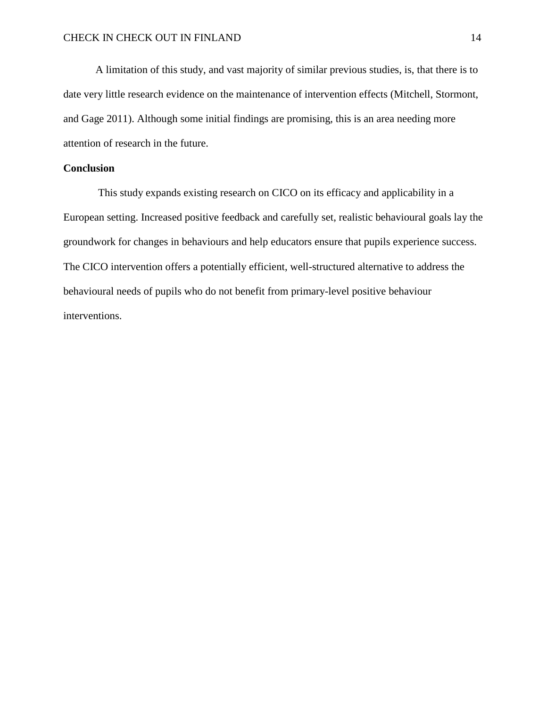A limitation of this study, and vast majority of similar previous studies, is, that there is to date very little research evidence on the maintenance of intervention effects (Mitchell, Stormont, and Gage 2011). Although some initial findings are promising, this is an area needing more attention of research in the future.

### **Conclusion**

This study expands existing research on CICO on its efficacy and applicability in a European setting. Increased positive feedback and carefully set, realistic behavioural goals lay the groundwork for changes in behaviours and help educators ensure that pupils experience success. The CICO intervention offers a potentially efficient, well-structured alternative to address the behavioural needs of pupils who do not benefit from primary-level positive behaviour interventions.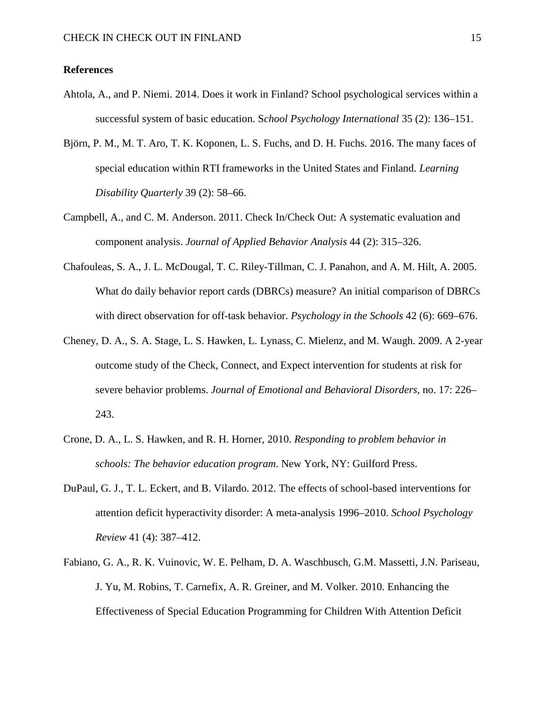### **References**

- Ahtola, A., and P. Niemi. 2014. Does it work in Finland? School psychological services within a successful system of basic education. S*chool Psychology International* 35 (2): 136–151.
- Björn, P. M., M. T. Aro, T. K. Koponen, L. S. Fuchs, and D. H. Fuchs. 2016. The many faces of special education within RTI frameworks in the United States and Finland. *Learning Disability Quarterly* 39 (2): 58–66.
- Campbell, A., and C. M. Anderson. 2011. Check In/Check Out: A systematic evaluation and component analysis. *Journal of Applied Behavior Analysis* 44 (2): 315–326.
- Chafouleas, S. A., J. L. McDougal, T. C. Riley-Tillman, C. J. Panahon, and A. M. Hilt, A. 2005. What do daily behavior report cards (DBRCs) measure? An initial comparison of DBRCs with direct observation for off-task behavior. *Psychology in the Schools* 42 (6): 669–676.
- Cheney, D. A., S. A. Stage, L. S. Hawken, L. Lynass, C. Mielenz, and M. Waugh. 2009. A 2-year outcome study of the Check, Connect, and Expect intervention for students at risk for severe behavior problems. *Journal of Emotional and Behavioral Disorders,* no. 17: 226– 243.
- Crone, D. A., L. S. Hawken, and R. H. Horner, 2010. *Responding to problem behavior in schools: The behavior education program*. New York, NY: Guilford Press.
- DuPaul, G. J., T. L. Eckert, and B. Vilardo. 2012. The effects of school-based interventions for attention deficit hyperactivity disorder: A meta-analysis 1996–2010. *School Psychology Review* 41 (4): 387–412.
- Fabiano, G. A., R. K. Vuinovic, W. E. Pelham, D. A. Waschbusch, G.M. Massetti, J.N. Pariseau, J. Yu, M. Robins, T. Carnefix, A. R. Greiner, and M. Volker. 2010. Enhancing the Effectiveness of Special Education Programming for Children With Attention Deficit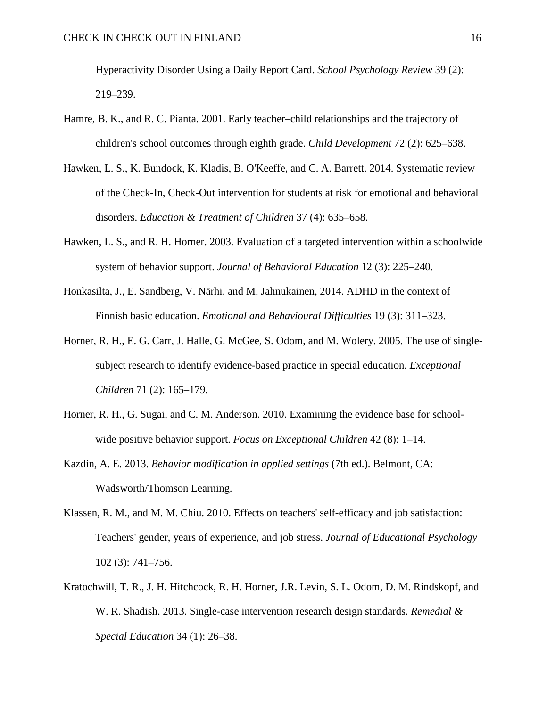Hyperactivity Disorder Using a Daily Report Card. *School Psychology Review* 39 (2): 219–239.

- Hamre, B. K., and R. C. Pianta. 2001. Early teacher–child relationships and the trajectory of children's school outcomes through eighth grade. *Child Development* 72 (2): 625–638.
- Hawken, L. S., K. Bundock, K. Kladis, B. O'Keeffe, and C. A. Barrett. 2014. Systematic review of the Check-In, Check-Out intervention for students at risk for emotional and behavioral disorders. *Education & Treatment of Children* 37 (4): 635–658.
- Hawken, L. S., and R. H. Horner. 2003. Evaluation of a targeted intervention within a schoolwide system of behavior support. *Journal of Behavioral Education* 12 (3): 225–240.
- Honkasilta, J., E. Sandberg, V. Närhi, and M. Jahnukainen, 2014. ADHD in the context of Finnish basic education. *Emotional and Behavioural Difficulties* 19 (3): 311–323.
- Horner, R. H., E. G. Carr, J. Halle, G. McGee, S. Odom, and M. Wolery. 2005. The use of singlesubject research to identify evidence-based practice in special education. *Exceptional Children* 71 (2): 165–179.
- Horner, R. H., G. Sugai, and C. M. Anderson. 2010. Examining the evidence base for schoolwide positive behavior support. *Focus on Exceptional Children* 42 (8): 1–14.
- Kazdin, A. E. 2013. *Behavior modification in applied settings* (7th ed.). Belmont, CA: Wadsworth/Thomson Learning.
- Klassen, R. M., and M. M. Chiu. 2010. Effects on teachers' self-efficacy and job satisfaction: Teachers' gender, years of experience, and job stress. *Journal of Educational Psychology*  102 (3): 741–756.
- Kratochwill, T. R., J. H. Hitchcock, R. H. Horner, J.R. Levin, S. L. Odom, D. M. Rindskopf, and W. R. Shadish. 2013. Single-case intervention research design standards. *Remedial & Special Education* 34 (1): 26–38.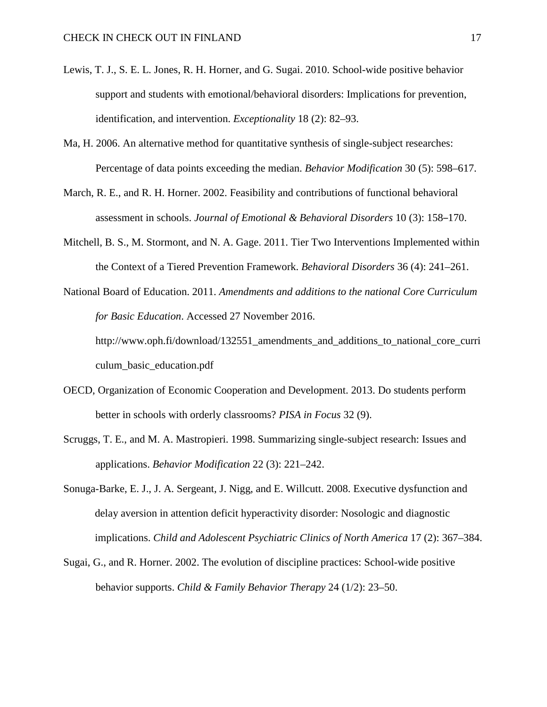- Lewis, T. J., S. E. L. Jones, R. H. Horner, and G. Sugai. 2010. School-wide positive behavior support and students with emotional/behavioral disorders: Implications for prevention, identification, and intervention. *Exceptionality* 18 (2): 82–93.
- Ma, H. 2006. An alternative method for quantitative synthesis of single-subject researches: Percentage of data points exceeding the median. *Behavior Modification* 30 (5): 598–617.
- March, R. E., and R. H. Horner. 2002. Feasibility and contributions of functional behavioral assessment in schools. *Journal of Emotional & Behavioral Disorders* 10 (3): 158–170.
- Mitchell, B. S., M. Stormont, and N. A. Gage. 2011. Tier Two Interventions Implemented within the Context of a Tiered Prevention Framework. *Behavioral Disorders* 36 (4): 241–261.
- National Board of Education. 2011. *Amendments and additions to the national Core Curriculum for Basic Education*. Accessed 27 November 2016. http://www.oph.fi/download/132551\_amendments\_and\_additions\_to\_national\_core\_curri culum\_basic\_education.pdf
- OECD, Organization of Economic Cooperation and Development. 2013. Do students perform better in schools with orderly classrooms? *PISA in Focus* 32 (9).
- Scruggs, T. E., and M. A. Mastropieri. 1998. Summarizing single-subject research: Issues and applications. *Behavior Modification* 22 (3): 221–242.
- Sonuga-Barke, E. J., J. A. Sergeant, J. Nigg, and E. Willcutt. 2008. Executive dysfunction and delay aversion in attention deficit hyperactivity disorder: Nosologic and diagnostic implications. *Child and Adolescent Psychiatric Clinics of North America* 17 (2): 367–384.
- Sugai, G., and R. Horner. 2002. The evolution of discipline practices: School-wide positive behavior supports. *Child & Family Behavior Therapy* 24 (1/2): 23–50.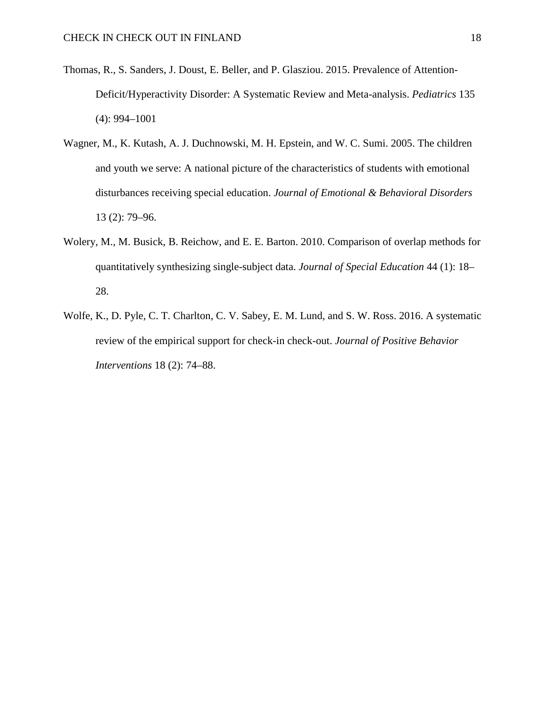- Thomas, R., S. Sanders, J. Doust, E. Beller, and P. Glasziou. 2015. Prevalence of Attention-Deficit/Hyperactivity Disorder: A Systematic Review and Meta-analysis. *Pediatrics* 135 (4): 994–1001
- Wagner, M., K. Kutash, A. J. Duchnowski, M. H. Epstein, and W. C. Sumi. 2005. The children and youth we serve: A national picture of the characteristics of students with emotional disturbances receiving special education. *Journal of Emotional & Behavioral Disorders*  13 (2): 79–96.
- Wolery, M., M. Busick, B. Reichow, and E. E. Barton. 2010. Comparison of overlap methods for quantitatively synthesizing single-subject data. *Journal of Special Education* 44 (1): 18– 28.
- Wolfe, K., D. Pyle, C. T. Charlton, C. V. Sabey, E. M. Lund, and S. W. Ross. 2016. A systematic review of the empirical support for check-in check-out. *Journal of Positive Behavior Interventions* 18 (2): 74–88.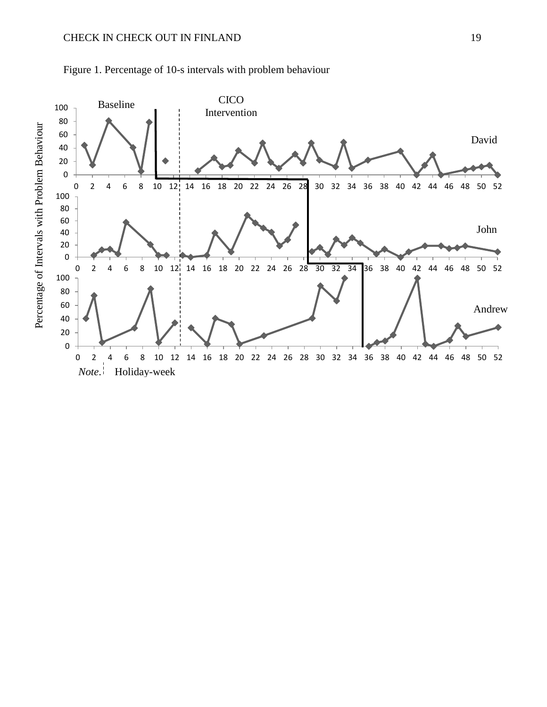

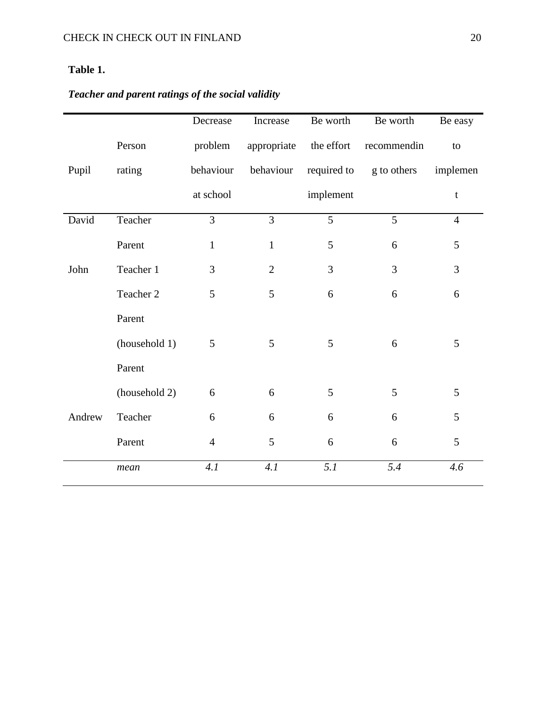## **Table 1.**

# *Teacher and parent ratings of the social validity*

|        |               | Decrease       | Increase       | Be worth       | Be worth       | Be easy        |
|--------|---------------|----------------|----------------|----------------|----------------|----------------|
|        | Person        | problem        | appropriate    | the effort     | recommendin    | to             |
| Pupil  | rating        | behaviour      | behaviour      | required to    | g to others    | implemen       |
|        |               | at school      |                | implement      |                | $\mathfrak{t}$ |
| David  | Teacher       | $\overline{3}$ | $\overline{3}$ | $\overline{5}$ | 5              | $\overline{4}$ |
|        | Parent        | $\mathbf{1}$   | $\mathbf{1}$   | 5              | 6              | 5              |
| John   | Teacher 1     | 3              | $\overline{2}$ | 3              | $\overline{3}$ | 3              |
|        | Teacher 2     | 5              | 5              | 6              | 6              | 6              |
|        | Parent        |                |                |                |                |                |
|        | (household 1) | 5              | 5              | 5              | 6              | 5              |
|        | Parent        |                |                |                |                |                |
|        | (household 2) | 6              | 6              | 5              | 5              | 5              |
| Andrew | Teacher       | 6              | 6              | 6              | 6              | 5              |
|        | Parent        | $\overline{4}$ | 5              | 6              | 6              | 5              |
|        | mean          | 4.1            | 4.1            | 5.1            | 5.4            | 4.6            |